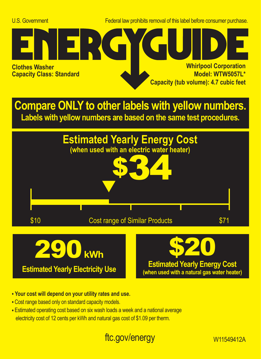U.S. Government Federal law prohibits removal of this label before consumer purchase.



**Compare ONLY to other labels with yellow numbers. Labels with yellow numbers are based on the same test procedures.**



- **Your cost will depend on your utility rates and use.**
- **•** Cost range based only on standard capacity models.
- **•** Estimated operating cost based on six wash loads a week and a national average electricity cost of 12 cents per kWh and natural gas cost of \$1.09 per therm.